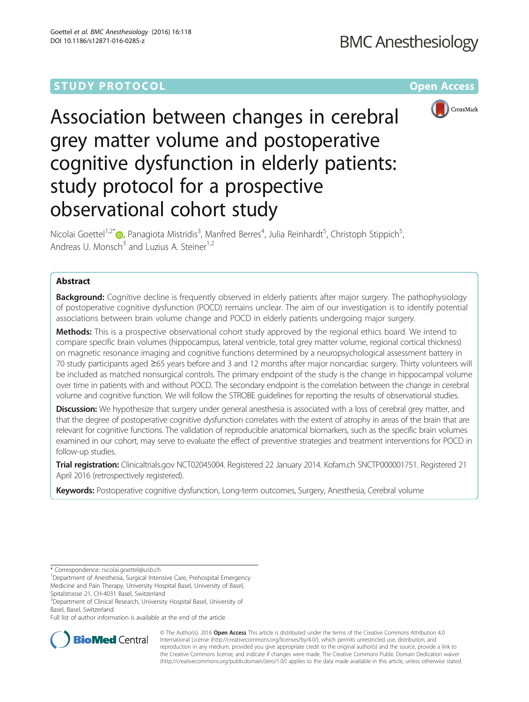# **STUDY PROTOCOL CONSUMING THE CONSUMING OPEN ACCESS**



Association between changes in cerebral grey matter volume and postoperative cognitive dysfunction in elderly patients: study protocol for a prospective observational cohort study

Nicolai Goettel<sup>1,2[\\*](http://orcid.org/0000-0003-0191-9775)</sup>®, Panagiota Mistridis<sup>3</sup>, Manfred Berres<sup>4</sup>, Julia Reinhardt<sup>5</sup>, Christoph Stippich<sup>5</sup> , Andreas U. Monsch<sup>3</sup> and Luzius A. Steiner<sup>1,2</sup>

# Abstract

**Background:** Cognitive decline is frequently observed in elderly patients after major surgery. The pathophysiology of postoperative cognitive dysfunction (POCD) remains unclear. The aim of our investigation is to identify potential associations between brain volume change and POCD in elderly patients undergoing major surgery.

Methods: This is a prospective observational cohort study approved by the regional ethics board. We intend to compare specific brain volumes (hippocampus, lateral ventricle, total grey matter volume, regional cortical thickness) on magnetic resonance imaging and cognitive functions determined by a neuropsychological assessment battery in 70 study participants aged ≥65 years before and 3 and 12 months after major noncardiac surgery. Thirty volunteers will be included as matched nonsurgical controls. The primary endpoint of the study is the change in hippocampal volume over time in patients with and without POCD. The secondary endpoint is the correlation between the change in cerebral volume and cognitive function. We will follow the STROBE guidelines for reporting the results of observational studies.

**Discussion:** We hypothesize that surgery under general anesthesia is associated with a loss of cerebral grey matter, and that the degree of postoperative cognitive dysfunction correlates with the extent of atrophy in areas of the brain that are relevant for cognitive functions. The validation of reproducible anatomical biomarkers, such as the specific brain volumes examined in our cohort, may serve to evaluate the effect of preventive strategies and treatment interventions for POCD in follow-up studies.

Trial registration: Clinicaltrials.gov [NCT02045004.](https://clinicaltrials.gov/ct2/show/NCT02045004) Registered 22 January 2014. Kofam.ch SNCTP000001751. Registered 21 April 2016 (retrospectively registered).

Keywords: Postoperative cognitive dysfunction, Long-term outcomes, Surgery, Anesthesia, Cerebral volume

\* Correspondence: [nicolai.goettel@usb.ch](mailto:nicolai.goettel@usb.ch) <sup>1</sup>

<sup>1</sup>Department of Anesthesia, Surgical Intensive Care, Prehospital Emergency Medicine and Pain Therapy, University Hospital Basel, University of Basel,

Spitalstrasse 21, CH-4031 Basel, Switzerland

<sup>2</sup> Department of Clinical Research, University Hospital Basel, University of Basel, Basel, Switzerland

Full list of author information is available at the end of the article



© The Author(s). 2016 Open Access This article is distributed under the terms of the Creative Commons Attribution 4.0 International License [\(http://creativecommons.org/licenses/by/4.0/](http://creativecommons.org/licenses/by/4.0/)), which permits unrestricted use, distribution, and reproduction in any medium, provided you give appropriate credit to the original author(s) and the source, provide a link to the Creative Commons license, and indicate if changes were made. The Creative Commons Public Domain Dedication waiver [\(http://creativecommons.org/publicdomain/zero/1.0/](http://creativecommons.org/publicdomain/zero/1.0/)) applies to the data made available in this article, unless otherwise stated.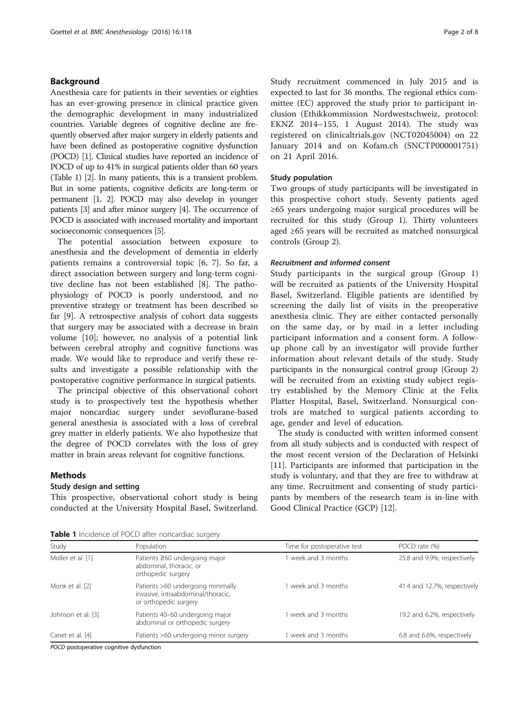# Background

Anesthesia care for patients in their seventies or eighties has an ever-growing presence in clinical practice given the demographic development in many industrialized countries. Variable degrees of cognitive decline are frequently observed after major surgery in elderly patients and have been defined as postoperative cognitive dysfunction (POCD) [\[1\]](#page-7-0). Clinical studies have reported an incidence of POCD of up to 41% in surgical patients older than 60 years (Table 1) [\[2\]](#page-7-0). In many patients, this is a transient problem. But in some patients, cognitive deficits are long-term or permanent [[1, 2\]](#page-7-0). POCD may also develop in younger patients [[3](#page-7-0)] and after minor surgery [[4](#page-7-0)]. The occurrence of POCD is associated with increased mortality and important socioeconomic consequences [\[5\]](#page-7-0).

The potential association between exposure to anesthesia and the development of dementia in elderly patients remains a controversial topic [[6, 7\]](#page-7-0). So far, a direct association between surgery and long-term cognitive decline has not been established [[8\]](#page-7-0). The pathophysiology of POCD is poorly understood, and no preventive strategy or treatment has been described so far [[9\]](#page-7-0). A retrospective analysis of cohort data suggests that surgery may be associated with a decrease in brain volume [\[10](#page-7-0)]; however, no analysis of a potential link between cerebral atrophy and cognitive functions was made. We would like to reproduce and verify these results and investigate a possible relationship with the postoperative cognitive performance in surgical patients.

The principal objective of this observational cohort study is to prospectively test the hypothesis whether major noncardiac surgery under sevoflurane-based general anesthesia is associated with a loss of cerebral grey matter in elderly patients. We also hypothesize that the degree of POCD correlates with the loss of grey matter in brain areas relevant for cognitive functions.

# **Methods**

## Study design and setting

This prospective, observational cohort study is being conducted at the University Hospital Basel, Switzerland. Study recruitment commenced in July 2015 and is expected to last for 36 months. The regional ethics committee (EC) approved the study prior to participant inclusion (Ethikkommission Nordwestschweiz, protocol: EKNZ 2014–155, 1 August 2014). The study was registered on clinicaltrials.gov (NCT02045004) on 22 January 2014 and on Kofam.ch (SNCTP000001751) on 21 April 2016.

## Study population

Two groups of study participants will be investigated in this prospective cohort study. Seventy patients aged ≥65 years undergoing major surgical procedures will be recruited for this study (Group 1). Thirty volunteers aged ≥65 years will be recruited as matched nonsurgical controls (Group 2).

### Recruitment and informed consent

Study participants in the surgical group (Group 1) will be recruited as patients of the University Hospital Basel, Switzerland. Eligible patients are identified by screening the daily list of visits in the preoperative anesthesia clinic. They are either contacted personally on the same day, or by mail in a letter including participant information and a consent form. A followup phone call by an investigator will provide further information about relevant details of the study. Study participants in the nonsurgical control group (Group 2) will be recruited from an existing study subject registry established by the Memory Clinic at the Felix Platter Hospital, Basel, Switzerland. Nonsurgical controls are matched to surgical patients according to age, gender and level of education.

The study is conducted with written informed consent from all study subjects and is conducted with respect of the most recent version of the Declaration of Helsinki [[11\]](#page-7-0). Participants are informed that participation in the study is voluntary, and that they are free to withdraw at any time. Recruitment and consenting of study participants by members of the research team is in-line with Good Clinical Practice (GCP) [[12\]](#page-7-0).

| Table 1 Incidence of POCD after noncardiac surgery |  |
|----------------------------------------------------|--|
|----------------------------------------------------|--|

| Study              | Population                                                                                       | Time for postoperative test | POCD rate (%)                |
|--------------------|--------------------------------------------------------------------------------------------------|-----------------------------|------------------------------|
| Moller et al. [1]  | Patients $\geq 60$ undergoing major<br>abdominal, thoracic, or<br>orthopedic surgery             | 1 week and 3 months         | 25.8 and 9.9%, respectively  |
| Monk et al. [2]    | Patients >60 undergoing minimally<br>invasive, intraabdominal/thoracic,<br>or orthopedic surgery | 1 week and 3 months         | 41.4 and 12.7%, respectively |
| Johnson et al. [3] | Patients 40-60 undergoing major<br>abdominal or orthopedic surgery                               | 1 week and 3 months         | 19.2 and 6.2%, respectively  |
| Canet et al. [4]   | Patients >60 undergoing minor surgery                                                            | 1 week and 3 months         | 6.8 and 6.6%, respectively   |

POCD postoperative cognitive dysfunction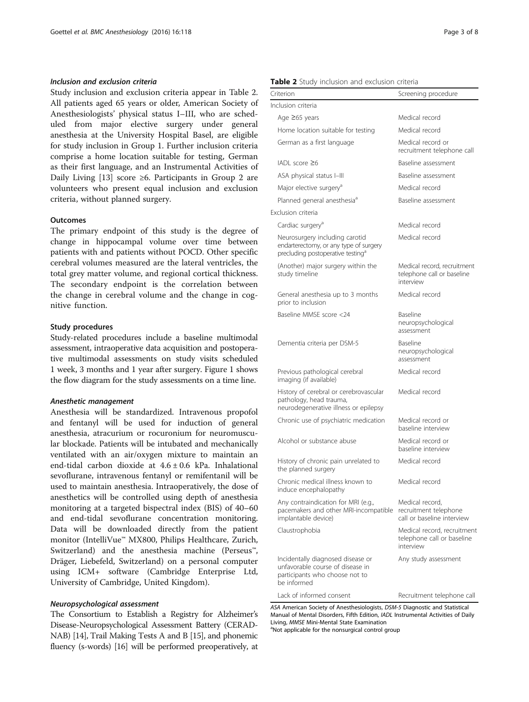## Inclusion and exclusion criteria

Study inclusion and exclusion criteria appear in Table 2. All patients aged 65 years or older, American Society of Anesthesiologists' physical status I–III, who are scheduled from major elective surgery under general anesthesia at the University Hospital Basel, are eligible for study inclusion in Group 1. Further inclusion criteria comprise a home location suitable for testing, German as their first language, and an Instrumental Activities of Daily Living [\[13](#page-7-0)] score ≥6. Participants in Group 2 are volunteers who present equal inclusion and exclusion criteria, without planned surgery.

#### **Outcomes**

The primary endpoint of this study is the degree of change in hippocampal volume over time between patients with and patients without POCD. Other specific cerebral volumes measured are the lateral ventricles, the total grey matter volume, and regional cortical thickness. The secondary endpoint is the correlation between the change in cerebral volume and the change in cognitive function.

#### Study procedures

Study-related procedures include a baseline multimodal assessment, intraoperative data acquisition and postoperative multimodal assessments on study visits scheduled 1 week, 3 months and 1 year after surgery. Figure [1](#page-3-0) shows the flow diagram for the study assessments on a time line.

#### Anesthetic management

Anesthesia will be standardized. Intravenous propofol and fentanyl will be used for induction of general anesthesia, atracurium or rocuronium for neuromuscular blockade. Patients will be intubated and mechanically ventilated with an air/oxygen mixture to maintain an end-tidal carbon dioxide at 4.6 ± 0.6 kPa. Inhalational sevoflurane, intravenous fentanyl or remifentanil will be used to maintain anesthesia. Intraoperatively, the dose of anesthetics will be controlled using depth of anesthesia monitoring at a targeted bispectral index (BIS) of 40–60 and end-tidal sevoflurane concentration monitoring. Data will be downloaded directly from the patient monitor (IntelliVue™ MX800, Philips Healthcare, Zurich, Switzerland) and the anesthesia machine (Perseus™, Dräger, Liebefeld, Switzerland) on a personal computer using ICM+ software (Cambridge Enterprise Ltd, University of Cambridge, United Kingdom).

# Neuropsychological assessment

The Consortium to Establish a Registry for Alzheimer's Disease-Neuropsychological Assessment Battery (CERAD-NAB) [\[14](#page-7-0)], Trail Making Tests A and B [\[15](#page-7-0)], and phonemic fluency (s-words) [[16](#page-7-0)] will be performed preoperatively, at

#### Table 2 Study inclusion and exclusion criteria

| Criterion                                                                                                                 | Screening procedure                                                    |
|---------------------------------------------------------------------------------------------------------------------------|------------------------------------------------------------------------|
| Inclusion criteria                                                                                                        |                                                                        |
| Age ≥65 years                                                                                                             | Medical record                                                         |
| Home location suitable for testing                                                                                        | Medical record                                                         |
| German as a first language                                                                                                | Medical record or<br>recruitment telephone call                        |
| $IADL$ score $\geq 6$                                                                                                     | Baseline assessment                                                    |
| ASA physical status I-III                                                                                                 | Baseline assessment                                                    |
| Major elective surgery <sup>a</sup>                                                                                       | Medical record                                                         |
| Planned general anesthesia <sup>a</sup>                                                                                   | Baseline assessment                                                    |
| Exclusion criteria                                                                                                        |                                                                        |
| Cardiac surgery <sup>a</sup>                                                                                              | Medical record                                                         |
| Neurosurgery including carotid<br>endarterectomy, or any type of surgery<br>precluding postoperative testing <sup>a</sup> | Medical record                                                         |
| (Another) major surgery within the<br>study timeline                                                                      | Medical record, recruitment<br>telephone call or baseline<br>interview |
| General anesthesia up to 3 months<br>prior to inclusion                                                                   | Medical record                                                         |
| Baseline MMSE score <24                                                                                                   | Baseline<br>neuropsychological<br>assessment                           |
| Dementia criteria per DSM-5                                                                                               | <b>Baseline</b><br>neuropsychological<br>assessment                    |
| Previous pathological cerebral<br>imaging (if available)                                                                  | Medical record                                                         |
| History of cerebral or cerebrovascular<br>pathology, head trauma,<br>neurodegenerative illness or epilepsy                | Medical record                                                         |
| Chronic use of psychiatric medication                                                                                     | Medical record or<br>baseline interview                                |
| Alcohol or substance abuse                                                                                                | Medical record or<br>baseline interview                                |
| History of chronic pain unrelated to<br>the planned surgery                                                               | Medical record                                                         |
| Chronic medical illness known to<br>induce encephalopathy                                                                 | Medical record                                                         |
| Any contraindication for MRI (e.g.,<br>pacemakers and other MRI-incompatible<br>implantable device)                       | Medical record,<br>recruitment telephone<br>call or baseline interview |
| Claustrophobia                                                                                                            | Medical record, recruitment<br>telephone call or baseline<br>interview |
| Incidentally diagnosed disease or<br>unfavorable course of disease in<br>participants who choose not to<br>be informed    | Any study assessment                                                   |
| Lack of informed consent                                                                                                  | Recruitment telephone call                                             |

ASA American Society of Anesthesiologists, DSM-5 Diagnostic and Statistical Manual of Mental Disorders, Fifth Edition, IADL Instrumental Activities of Daily Living, MMSE Mini-Mental State Examination

<sup>a</sup>Not applicable for the nonsurgical control group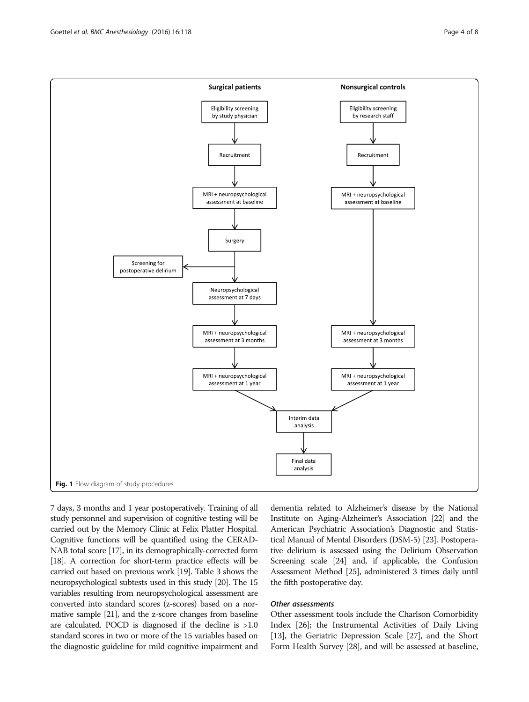<span id="page-3-0"></span>

7 days, 3 months and 1 year postoperatively. Training of all study personnel and supervision of cognitive testing will be carried out by the Memory Clinic at Felix Platter Hospital. Cognitive functions will be quantified using the CERAD-NAB total score [\[17\]](#page-7-0), in its demographically-corrected form [[18](#page-7-0)]. A correction for short-term practice effects will be carried out based on previous work [\[19\]](#page-7-0). Table [3](#page-4-0) shows the neuropsychological subtests used in this study [\[20](#page-7-0)]. The 15 variables resulting from neuropsychological assessment are converted into standard scores (z-scores) based on a normative sample [\[21](#page-7-0)], and the z-score changes from baseline are calculated. POCD is diagnosed if the decline is >1.0 standard scores in two or more of the 15 variables based on the diagnostic guideline for mild cognitive impairment and

dementia related to Alzheimer's disease by the National Institute on Aging-Alzheimer's Association [[22](#page-7-0)] and the American Psychiatric Association's Diagnostic and Statistical Manual of Mental Disorders (DSM-5) [\[23](#page-7-0)]. Postoperative delirium is assessed using the Delirium Observation Screening scale [[24](#page-7-0)] and, if applicable, the Confusion Assessment Method [\[25\]](#page-7-0), administered 3 times daily until the fifth postoperative day.

# Other assessments

Other assessment tools include the Charlson Comorbidity Index [\[26\]](#page-7-0); the Instrumental Activities of Daily Living [[13](#page-7-0)], the Geriatric Depression Scale [\[27\]](#page-7-0), and the Short Form Health Survey [[28](#page-7-0)], and will be assessed at baseline,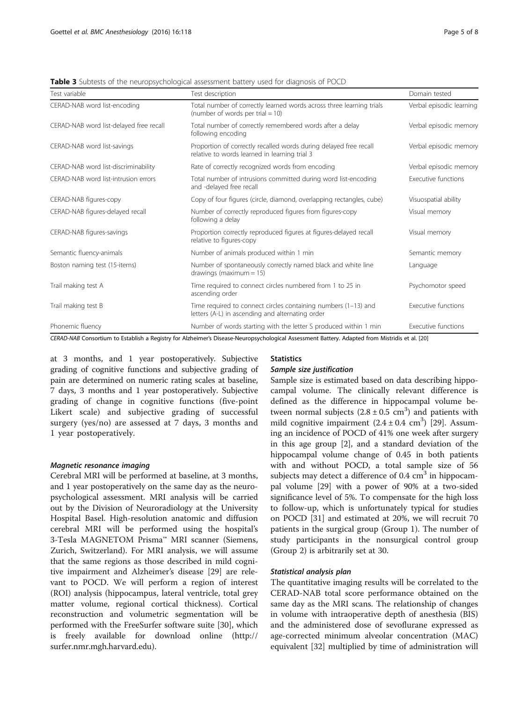| Test variable                           | Test description                                                                                                     | Domain tested            |
|-----------------------------------------|----------------------------------------------------------------------------------------------------------------------|--------------------------|
| CERAD-NAB word list-encoding            | Total number of correctly learned words across three learning trials<br>(number of words per trial = $10$ )          | Verbal episodic learning |
| CERAD-NAB word list-delayed free recall | Total number of correctly remembered words after a delay<br>following encoding                                       | Verbal episodic memory   |
| CERAD-NAB word list-savings             | Proportion of correctly recalled words during delayed free recall<br>relative to words learned in learning trial 3   | Verbal episodic memory   |
| CERAD-NAB word list-discriminability    | Rate of correctly recognized words from encoding                                                                     | Verbal episodic memory   |
| CERAD-NAB word list-intrusion errors    | Total number of intrusions committed during word list-encoding<br>and -delayed free recall                           | Executive functions      |
| CERAD-NAB figures-copy                  | Copy of four figures (circle, diamond, overlapping rectangles, cube)                                                 | Visuospatial ability     |
| CERAD-NAB figures-delayed recall        | Number of correctly reproduced figures from figures-copy<br>following a delay                                        | Visual memory            |
| CERAD-NAB figures-savings               | Proportion correctly reproduced figures at figures-delayed recall<br>relative to figures-copy                        | Visual memory            |
| Semantic fluency-animals                | Number of animals produced within 1 min                                                                              | Semantic memory          |
| Boston naming test (15-items)           | Number of spontaneously correctly named black and white line<br>drawings (maximum $= 15$ )                           | Language                 |
| Trail making test A                     | Time required to connect circles numbered from 1 to 25 in<br>ascending order                                         | Psychomotor speed        |
| Trail making test B                     | Time required to connect circles containing numbers $(1-13)$ and<br>letters (A-L) in ascending and alternating order | Executive functions      |
| Phonemic fluency                        | Number of words starting with the letter S produced within 1 min                                                     | Executive functions      |

<span id="page-4-0"></span>Table 3 Subtests of the neuropsychological assessment battery used for diagnosis of POCD

CERAD-NAB Consortium to Establish a Registry for Alzheimer's Disease-Neuropsychological Assessment Battery. Adapted from Mistridis et al. [\[20\]](#page-7-0)

at 3 months, and 1 year postoperatively. Subjective grading of cognitive functions and subjective grading of pain are determined on numeric rating scales at baseline, 7 days, 3 months and 1 year postoperatively. Subjective grading of change in cognitive functions (five-point Likert scale) and subjective grading of successful surgery (yes/no) are assessed at 7 days, 3 months and 1 year postoperatively.

#### Magnetic resonance imaging

Cerebral MRI will be performed at baseline, at 3 months, and 1 year postoperatively on the same day as the neuropsychological assessment. MRI analysis will be carried out by the Division of Neuroradiology at the University Hospital Basel. High-resolution anatomic and diffusion cerebral MRI will be performed using the hospital's 3-Tesla MAGNETOM Prisma™ MRI scanner (Siemens, Zurich, Switzerland). For MRI analysis, we will assume that the same regions as those described in mild cognitive impairment and Alzheimer's disease [\[29\]](#page-7-0) are relevant to POCD. We will perform a region of interest (ROI) analysis (hippocampus, lateral ventricle, total grey matter volume, regional cortical thickness). Cortical reconstruction and volumetric segmentation will be performed with the FreeSurfer software suite [[30\]](#page-7-0), which is freely available for download online [\(http://](http://surfer.nmr.mgh.harvard.edu) [surfer.nmr.mgh.harvard.edu\)](http://surfer.nmr.mgh.harvard.edu).

## **Statistics**

## Sample size justification

Sample size is estimated based on data describing hippocampal volume. The clinically relevant difference is defined as the difference in hippocampal volume between normal subjects  $(2.8 \pm 0.5 \text{ cm}^3)$  and patients with mild cognitive impairment  $(2.4 \pm 0.4 \text{ cm}^3)$  [[29](#page-7-0)]. Assuming an incidence of POCD of 41% one week after surgery in this age group [\[2\]](#page-7-0), and a standard deviation of the hippocampal volume change of 0.45 in both patients with and without POCD, a total sample size of 56 subjects may detect a difference of  $0.4 \text{ cm}^3$  in hippocampal volume [\[29](#page-7-0)] with a power of 90% at a two-sided significance level of 5%. To compensate for the high loss to follow-up, which is unfortunately typical for studies on POCD [[31\]](#page-7-0) and estimated at 20%, we will recruit 70 patients in the surgical group (Group 1). The number of study participants in the nonsurgical control group (Group 2) is arbitrarily set at 30.

## Statistical analysis plan

The quantitative imaging results will be correlated to the CERAD-NAB total score performance obtained on the same day as the MRI scans. The relationship of changes in volume with intraoperative depth of anesthesia (BIS) and the administered dose of sevoflurane expressed as age-corrected minimum alveolar concentration (MAC) equivalent [\[32](#page-7-0)] multiplied by time of administration will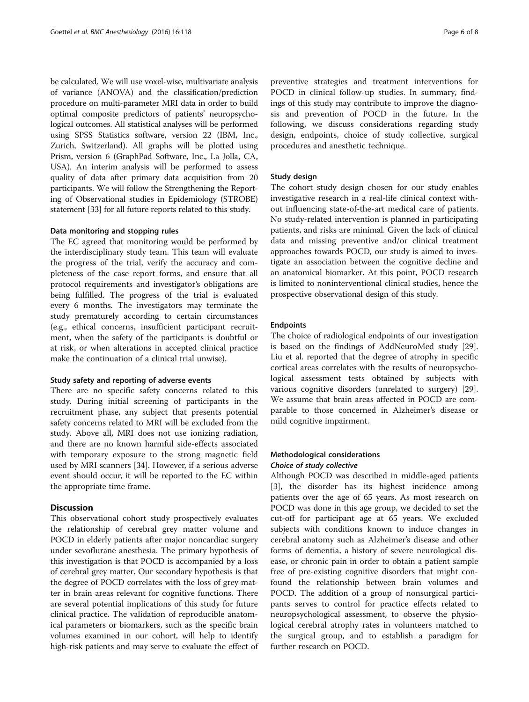be calculated. We will use voxel-wise, multivariate analysis of variance (ANOVA) and the classification/prediction procedure on multi-parameter MRI data in order to build optimal composite predictors of patients' neuropsychological outcomes. All statistical analyses will be performed using SPSS Statistics software, version 22 (IBM, Inc., Zurich, Switzerland). All graphs will be plotted using Prism, version 6 (GraphPad Software, Inc., La Jolla, CA, USA). An interim analysis will be performed to assess quality of data after primary data acquisition from 20 participants. We will follow the Strengthening the Reporting of Observational studies in Epidemiology (STROBE) statement [[33](#page-7-0)] for all future reports related to this study.

## Data monitoring and stopping rules

The EC agreed that monitoring would be performed by the interdisciplinary study team. This team will evaluate the progress of the trial, verify the accuracy and completeness of the case report forms, and ensure that all protocol requirements and investigator's obligations are being fulfilled. The progress of the trial is evaluated every 6 months. The investigators may terminate the study prematurely according to certain circumstances (e.g., ethical concerns, insufficient participant recruitment, when the safety of the participants is doubtful or at risk, or when alterations in accepted clinical practice make the continuation of a clinical trial unwise).

### Study safety and reporting of adverse events

There are no specific safety concerns related to this study. During initial screening of participants in the recruitment phase, any subject that presents potential safety concerns related to MRI will be excluded from the study. Above all, MRI does not use ionizing radiation, and there are no known harmful side-effects associated with temporary exposure to the strong magnetic field used by MRI scanners [[34](#page-7-0)]. However, if a serious adverse event should occur, it will be reported to the EC within the appropriate time frame.

## **Discussion**

This observational cohort study prospectively evaluates the relationship of cerebral grey matter volume and POCD in elderly patients after major noncardiac surgery under sevoflurane anesthesia. The primary hypothesis of this investigation is that POCD is accompanied by a loss of cerebral grey matter. Our secondary hypothesis is that the degree of POCD correlates with the loss of grey matter in brain areas relevant for cognitive functions. There are several potential implications of this study for future clinical practice. The validation of reproducible anatomical parameters or biomarkers, such as the specific brain volumes examined in our cohort, will help to identify high-risk patients and may serve to evaluate the effect of preventive strategies and treatment interventions for POCD in clinical follow-up studies. In summary, findings of this study may contribute to improve the diagnosis and prevention of POCD in the future. In the following, we discuss considerations regarding study design, endpoints, choice of study collective, surgical procedures and anesthetic technique.

#### Study design

The cohort study design chosen for our study enables investigative research in a real-life clinical context without influencing state-of-the-art medical care of patients. No study-related intervention is planned in participating patients, and risks are minimal. Given the lack of clinical data and missing preventive and/or clinical treatment approaches towards POCD, our study is aimed to investigate an association between the cognitive decline and an anatomical biomarker. At this point, POCD research is limited to noninterventional clinical studies, hence the prospective observational design of this study.

## Endpoints

The choice of radiological endpoints of our investigation is based on the findings of AddNeuroMed study [\[29](#page-7-0)]. Liu et al. reported that the degree of atrophy in specific cortical areas correlates with the results of neuropsychological assessment tests obtained by subjects with various cognitive disorders (unrelated to surgery) [\[29](#page-7-0)]. We assume that brain areas affected in POCD are comparable to those concerned in Alzheimer's disease or mild cognitive impairment.

# Methodological considerations Choice of study collective

Although POCD was described in middle-aged patients [[3\]](#page-7-0), the disorder has its highest incidence among patients over the age of 65 years. As most research on POCD was done in this age group, we decided to set the cut-off for participant age at 65 years. We excluded subjects with conditions known to induce changes in cerebral anatomy such as Alzheimer's disease and other forms of dementia, a history of severe neurological disease, or chronic pain in order to obtain a patient sample free of pre-existing cognitive disorders that might confound the relationship between brain volumes and POCD. The addition of a group of nonsurgical participants serves to control for practice effects related to neuropsychological assessment, to observe the physiological cerebral atrophy rates in volunteers matched to the surgical group, and to establish a paradigm for further research on POCD.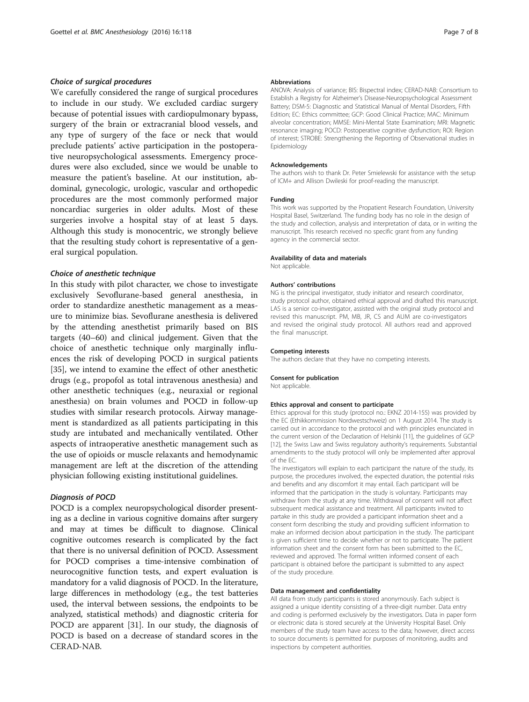## Choice of surgical procedures

We carefully considered the range of surgical procedures to include in our study. We excluded cardiac surgery because of potential issues with cardiopulmonary bypass, surgery of the brain or extracranial blood vessels, and any type of surgery of the face or neck that would preclude patients' active participation in the postoperative neuropsychological assessments. Emergency procedures were also excluded, since we would be unable to measure the patient's baseline. At our institution, abdominal, gynecologic, urologic, vascular and orthopedic procedures are the most commonly performed major noncardiac surgeries in older adults. Most of these surgeries involve a hospital stay of at least 5 days. Although this study is monocentric, we strongly believe that the resulting study cohort is representative of a general surgical population.

#### Choice of anesthetic technique

In this study with pilot character, we chose to investigate exclusively Sevoflurane-based general anesthesia, in order to standardize anesthetic management as a measure to minimize bias. Sevoflurane anesthesia is delivered by the attending anesthetist primarily based on BIS targets (40–60) and clinical judgement. Given that the choice of anesthetic technique only marginally influences the risk of developing POCD in surgical patients [[35\]](#page-7-0), we intend to examine the effect of other anesthetic drugs (e.g., propofol as total intravenous anesthesia) and other anesthetic techniques (e.g., neuraxial or regional anesthesia) on brain volumes and POCD in follow-up studies with similar research protocols. Airway management is standardized as all patients participating in this study are intubated and mechanically ventilated. Other aspects of intraoperative anesthetic management such as the use of opioids or muscle relaxants and hemodynamic management are left at the discretion of the attending physician following existing institutional guidelines.

# Diagnosis of POCD

POCD is a complex neuropsychological disorder presenting as a decline in various cognitive domains after surgery and may at times be difficult to diagnose. Clinical cognitive outcomes research is complicated by the fact that there is no universal definition of POCD. Assessment for POCD comprises a time-intensive combination of neurocognitive function tests, and expert evaluation is mandatory for a valid diagnosis of POCD. In the literature, large differences in methodology (e.g., the test batteries used, the interval between sessions, the endpoints to be analyzed, statistical methods) and diagnostic criteria for POCD are apparent [[31](#page-7-0)]. In our study, the diagnosis of POCD is based on a decrease of standard scores in the CERAD-NAB.

## Abbreviations

ANOVA: Analysis of variance; BIS: Bispectral index; CERAD-NAB: Consortium to Establish a Registry for Alzheimer's Disease-Neuropsychological Assessment Battery; DSM-5: Diagnostic and Statistical Manual of Mental Disorders, Fifth Edition; EC: Ethics committee; GCP: Good Clinical Practice; MAC: Minimum alveolar concentration; MMSE: Mini-Mental State Examination; MRI: Magnetic resonance imaging; POCD: Postoperative cognitive dysfunction; ROI: Region of interest; STROBE: Strengthening the Reporting of Observational studies in Epidemiology

#### Acknowledgements

The authors wish to thank Dr. Peter Smielewski for assistance with the setup of ICM+ and Allison Dwileski for proof-reading the manuscript.

#### Funding

This work was supported by the Propatient Research Foundation, University Hospital Basel, Switzerland. The funding body has no role in the design of the study and collection, analysis and interpretation of data, or in writing the manuscript. This research received no specific grant from any funding agency in the commercial sector.

#### Availability of data and materials

Not applicable.

#### Authors' contributions

NG is the principal investigator, study initiator and research coordinator, study protocol author, obtained ethical approval and drafted this manuscript. LAS is a senior co-investigator, assisted with the original study protocol and revised this manuscript. PM, MB, JR, CS and AUM are co-investigators and revised the original study protocol. All authors read and approved the final manuscript.

#### Competing interests

The authors declare that they have no competing interests.

# Consent for publication

Not applicable.

#### Ethics approval and consent to participate

Ethics approval for this study (protocol no.: EKNZ 2014-155) was provided by the EC (Ethikkommission Nordwestschweiz) on 1 August 2014. The study is carried out in accordance to the protocol and with principles enunciated in the current version of the Declaration of Helsinki [[11](#page-7-0)], the guidelines of GCP [[12\]](#page-7-0), the Swiss Law and Swiss regulatory authority's requirements. Substantial amendments to the study protocol will only be implemented after approval of the EC.

The investigators will explain to each participant the nature of the study, its purpose, the procedures involved, the expected duration, the potential risks and benefits and any discomfort it may entail. Each participant will be informed that the participation in the study is voluntary. Participants may withdraw from the study at any time. Withdrawal of consent will not affect subsequent medical assistance and treatment. All participants invited to partake in this study are provided a participant information sheet and a consent form describing the study and providing sufficient information to make an informed decision about participation in the study. The participant is given sufficient time to decide whether or not to participate. The patient information sheet and the consent form has been submitted to the EC, reviewed and approved. The formal written informed consent of each participant is obtained before the participant is submitted to any aspect of the study procedure.

#### Data management and confidentiality

All data from study participants is stored anonymously. Each subject is assigned a unique identity consisting of a three-digit number. Data entry and coding is performed exclusively by the investigators. Data in paper form or electronic data is stored securely at the University Hospital Basel. Only members of the study team have access to the data; however, direct access to source documents is permitted for purposes of monitoring, audits and inspections by competent authorities.